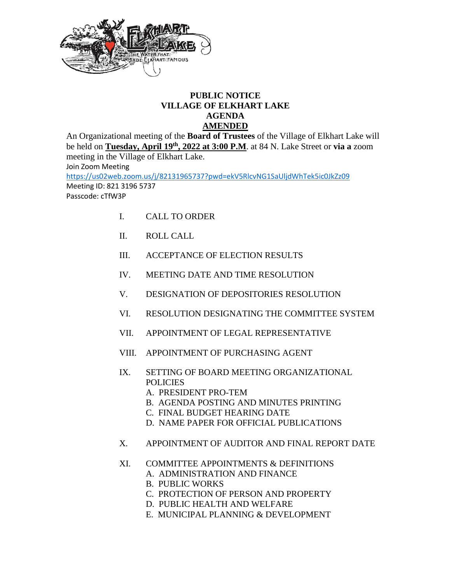

## **PUBLIC NOTICE VILLAGE OF ELKHART LAKE AGENDA AMENDED**

An Organizational meeting of the **Board of Trustees** of the Village of Elkhart Lake will be held on **Tuesday, April 19th, 2022 at 3:00 P.M**. at 84 N. Lake Street or **via a** zoom meeting in the Village of Elkhart Lake. Join Zoom Meeting <https://us02web.zoom.us/j/82131965737?pwd=ekV5RlcvNG1SaUljdWhTek5ic0JkZz09>

Meeting ID: 821 3196 5737

Passcode: cTfW3P

- I. CALL TO ORDER
- II. ROLL CALL
- III. ACCEPTANCE OF ELECTION RESULTS
- IV. MEETING DATE AND TIME RESOLUTION
- V. DESIGNATION OF DEPOSITORIES RESOLUTION
- VI. RESOLUTION DESIGNATING THE COMMITTEE SYSTEM
- VII. APPOINTMENT OF LEGAL REPRESENTATIVE
- VIII. APPOINTMENT OF PURCHASING AGENT
- IX. SETTING OF BOARD MEETING ORGANIZATIONAL POLICIES
	- A. PRESIDENT PRO-TEM
	- B. AGENDA POSTING AND MINUTES PRINTING
	- C. FINAL BUDGET HEARING DATE
	- D. NAME PAPER FOR OFFICIAL PUBLICATIONS
- X. APPOINTMENT OF AUDITOR AND FINAL REPORT DATE
- XI. COMMITTEE APPOINTMENTS & DEFINITIONS
	- A. ADMINISTRATION AND FINANCE
	- B. PUBLIC WORKS
		- C. PROTECTION OF PERSON AND PROPERTY
		- D. PUBLIC HEALTH AND WELFARE
	- E. MUNICIPAL PLANNING & DEVELOPMENT